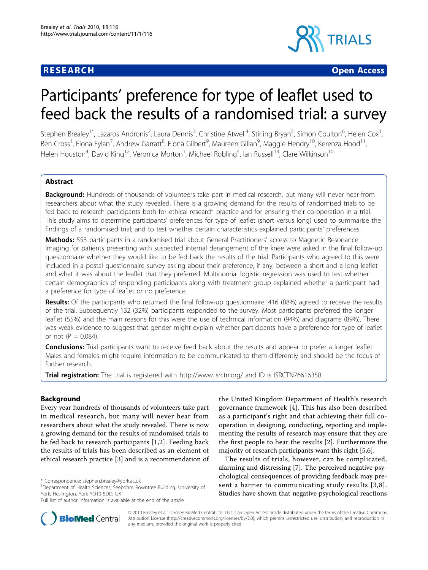

## **RESEARCH CONSTRUCTION CONSTRUCTS**

# Participants' preference for type of leaflet used to feed back the results of a randomised trial: a survey

Stephen Brealey<sup>1\*</sup>, Lazaros Andronis<sup>2</sup>, Laura Dennis<sup>3</sup>, Christine Atwell<sup>4</sup>, Stirling Bryan<sup>5</sup>, Simon Coulton<sup>6</sup>, Helen Cox<sup>1</sup> , Ben Cross<sup>1</sup>, Fiona Fylan<sup>7</sup>, Andrew Garratt<sup>8</sup>, Fiona Gilbert<sup>9</sup>, Maureen Gillan<sup>9</sup>, Maggie Hendry<sup>10</sup>, Kerenza Hood<sup>11</sup>, Helen Houston<sup>4</sup>, David King<sup>12</sup>, Veronica Morton<sup>1</sup>, Michael Robling<sup>4</sup>, Ian Russell<sup>13</sup>, Clare Wilkinson<sup>10</sup>

### Abstract

Background: Hundreds of thousands of volunteers take part in medical research, but many will never hear from researchers about what the study revealed. There is a growing demand for the results of randomised trials to be fed back to research participants both for ethical research practice and for ensuring their co-operation in a trial. This study aims to determine participants' preferences for type of leaflet (short versus long) used to summarise the findings of a randomised trial; and to test whether certain characteristics explained participants' preferences.

Methods: 553 participants in a randomised trial about General Practitioners' access to Magnetic Resonance Imaging for patients presenting with suspected internal derangement of the knee were asked in the final follow-up questionnaire whether they would like to be fed back the results of the trial. Participants who agreed to this were included in a postal questionnaire survey asking about their preference, if any, between a short and a long leaflet and what it was about the leaflet that they preferred. Multinomial logistic regression was used to test whether certain demographics of responding participants along with treatment group explained whether a participant had a preference for type of leaflet or no preference.

Results: Of the participants who returned the final follow-up questionnaire, 416 (88%) agreed to receive the results of the trial. Subsequently 132 (32%) participants responded to the survey. Most participants preferred the longer leaflet (55%) and the main reasons for this were the use of technical information (94%) and diagrams (89%). There was weak evidence to suggest that gender might explain whether participants have a preference for type of leaflet or not ( $P = 0.084$ ).

Conclusions: Trial participants want to receive feed back about the results and appear to prefer a longer leaflet. Males and females might require information to be communicated to them differently and should be the focus of further research.

Trial registration: The trial is registered with<http://www.isrctn.org/> and ID is ISRCTN76616358.

#### Background

Every year hundreds of thousands of volunteers take part in medical research, but many will never hear from researchers about what the study revealed. There is now a growing demand for the results of randomised trials to be fed back to research participants [\[1](#page-5-0),[2\]](#page-5-0). Feeding back the results of trials has been described as an element of ethical research practice [\[3](#page-5-0)] and is a recommendation of

the United Kingdom Department of Health's research governance framework [[4\]](#page-5-0). This has also been described as a participant's right and that achieving their full cooperation in designing, conducting, reporting and implementing the results of research may ensure that they are the first people to hear the results [[2](#page-5-0)]. Furthermore the majority of research participants want this right [\[5,6\]](#page-5-0).

The results of trials, however, can be complicated, alarming and distressing [[7\]](#page-5-0). The perceived negative psychological consequences of providing feedback may present a barrier to communicating study results [[3,8\]](#page-5-0). Studies have shown that negative psychological reactions



© 2010 Brealey et al; licensee BioMed Central Ltd. This is an Open Access article distributed under the terms of the Creative Commons Attribution License [\(http://creativecommons.org/licenses/by/2.0](http://creativecommons.org/licenses/by/2.0)), which permits unrestricted use, distribution, and reproduction in any medium, provided the original work is properly cited.

<sup>\*</sup> Correspondence: [stephen.brealey@york.ac.uk](mailto:stephen.brealey@york.ac.uk)

<sup>&</sup>lt;sup>1</sup>Department of Health Sciences, Seebohm Rowntree Building, University of York, Heslington, York YO10 5DD, UK

Full list of author information is available at the end of the article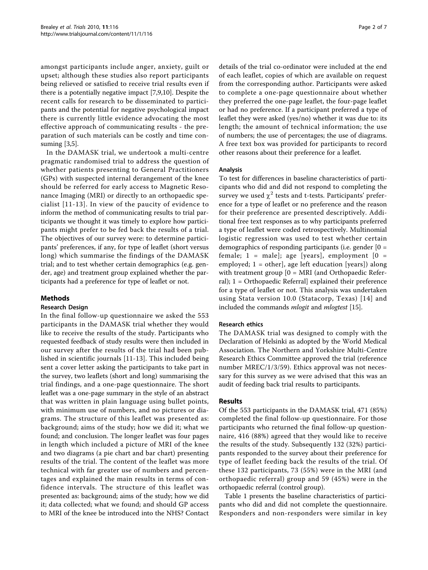amongst participants include anger, anxiety, guilt or upset; although these studies also report participants being relieved or satisfied to receive trial results even if there is a potentially negative impact [\[7,9,10](#page-5-0)]. Despite the recent calls for research to be disseminated to participants and the potential for negative psychological impact there is currently little evidence advocating the most effective approach of communicating results - the preparation of such materials can be costly and time consuming [\[3,5](#page-5-0)].

In the DAMASK trial, we undertook a multi-centre pragmatic randomised trial to address the question of whether patients presenting to General Practitioners (GPs) with suspected internal derangement of the knee should be referred for early access to Magnetic Resonance Imaging (MRI) or directly to an orthopaedic specialist [[11](#page-5-0)-[13\]](#page-5-0). In view of the paucity of evidence to inform the method of communicating results to trial participants we thought it was timely to explore how participants might prefer to be fed back the results of a trial. The objectives of our survey were: to determine participants' preferences, if any, for type of leaflet (short versus long) which summarise the findings of the DAMASK trial; and to test whether certain demographics (e.g. gender, age) and treatment group explained whether the participants had a preference for type of leaflet or not.

#### Methods

#### Research Design

In the final follow-up questionnaire we asked the 553 participants in the DAMASK trial whether they would like to receive the results of the study. Participants who requested feedback of study results were then included in our survey after the results of the trial had been published in scientific journals [\[11](#page-5-0)-[13](#page-5-0)]. This included being sent a cover letter asking the participants to take part in the survey, two leaflets (short and long) summarising the trial findings, and a one-page questionnaire. The short leaflet was a one-page summary in the style of an abstract that was written in plain language using bullet points, with minimum use of numbers, and no pictures or diagrams. The structure of this leaflet was presented as: background; aims of the study; how we did it; what we found; and conclusion. The longer leaflet was four pages in length which included a picture of MRI of the knee and two diagrams (a pie chart and bar chart) presenting results of the trial. The content of the leaflet was more technical with far greater use of numbers and percentages and explained the main results in terms of confidence intervals. The structure of this leaflet was presented as: background; aims of the study; how we did it; data collected; what we found; and should GP access to MRI of the knee be introduced into the NHS? Contact details of the trial co-ordinator were included at the end of each leaflet, copies of which are available on request from the corresponding author. Participants were asked to complete a one-page questionnaire about whether they preferred the one-page leaflet, the four-page leaflet or had no preference. If a participant preferred a type of leaflet they were asked (yes/no) whether it was due to: its length; the amount of technical information; the use of numbers; the use of percentages; the use of diagrams. A free text box was provided for participants to record other reasons about their preference for a leaflet.

#### Analysis

To test for differences in baseline characteristics of participants who did and did not respond to completing the survey we used  $\chi^2$  tests and t-tests. Participants' preference for a type of leaflet or no preference and the reason for their preference are presented descriptively. Additional free text responses as to why participants preferred a type of leaflet were coded retrospectively. Multinomial logistic regression was used to test whether certain demographics of responding participants (i.e. gender  $[0 =$ female;  $1 =$  male]; age [years], employment  $[0 =$ employed;  $1 =$  other], age left education [years]) along with treatment group  $[0 = MRI$  (and Orthopaedic Referral); 1 = Orthopaedic Referral] explained their preference for a type of leaflet or not. This analysis was undertaken using Stata version 10.0 (Statacorp, Texas) [[14\]](#page-5-0) and included the commands *mlogit* and *mlogtest* [[15](#page-5-0)].

#### Research ethics

The DAMASK trial was designed to comply with the Declaration of Helsinki as adopted by the World Medical Association. The Northern and Yorkshire Multi-Centre Research Ethics Committee approved the trial (reference number MREC/1/3/59). Ethics approval was not necessary for this survey as we were advised that this was an audit of feeding back trial results to participants.

#### Results

Of the 553 participants in the DAMASK trial, 471 (85%) completed the final follow-up questionnaire. For those participants who returned the final follow-up questionnaire, 416 (88%) agreed that they would like to receive the results of the study. Subsequently 132 (32%) participants responded to the survey about their preference for type of leaflet feeding back the results of the trial. Of these 132 participants, 73 (55%) were in the MRI (and orthopaedic referral) group and 59 (45%) were in the orthopaedic referral (control group).

Table [1](#page-2-0) presents the baseline characteristics of participants who did and did not complete the questionnaire. Responders and non-responders were similar in key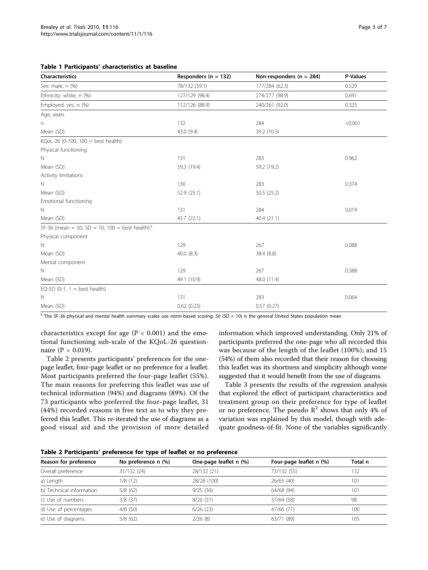<span id="page-2-0"></span>

| <b>Characteristics</b>                                      | Responders ( $n = 132$ ) | Non-responders ( $n = 284$ ) | P-Values |
|-------------------------------------------------------------|--------------------------|------------------------------|----------|
| Sex: male, n (%)                                            | 78/132 (59.1)            | 177/284 (62.3)               | 0.529    |
| Ethnicity: white, n (%)                                     | 127/129 (98.4)           | 274/277 (98.9)               | 0.691    |
| Employed: yes, n (%)                                        | 112/126 (88.9)           | 240/261 (92.0)               | 0.325    |
| Age, years                                                  |                          |                              |          |
| n                                                           | 132                      | 284                          | < 0.001  |
| Mean (SD)                                                   | 43.0 (9.4)               | 39.2 (10.3)                  |          |
| KQoL-26 (0-100, 100 = best health):                         |                          |                              |          |
| Physical functioning                                        |                          |                              |          |
| N                                                           | 131                      | 283                          | 0.962    |
| Mean (SD)                                                   | 59.3 (19.4)              | 59.2 (19.2)                  |          |
| Activity limitations                                        |                          |                              |          |
| N                                                           | 130                      | 283                          | 0.374    |
| Mean (SD)                                                   | 52.9 (25.1)              | 50.5 (25.2)                  |          |
| Emotional functioning                                       |                          |                              |          |
| $\mathbb N$                                                 | 131                      | 284                          | 0.019    |
| Mean (SD)                                                   | 45.7 (22.1)              | 40.4 (21.1)                  |          |
| SF-36 (mean = 50, SD = 10, 100 = best health). <sup>3</sup> |                          |                              |          |
| Physical component                                          |                          |                              |          |
| $\mathbb N$                                                 | 129                      | 267                          | 0.088    |
| Mean (SD)                                                   | 40.0(8.3)                | 38.4 (8.8)                   |          |
| Mental component                                            |                          |                              |          |
| $\mathbb N$                                                 | 129                      | 267                          | 0.388    |
| Mean (SD)                                                   | 49.1 (10.9)              | 48.0 (11.4)                  |          |
| EQ-5D (0-1, $1 = \text{best health}$ )                      |                          |                              |          |
| $\mathbb N$                                                 | 131                      | 283                          | 0.064    |
| Mean (SD)                                                   | 0.62(0.23)               | 0.57(0.27)                   |          |

 $a$  The SF-36 physical and mental health summary scales use norm-based scoring; 50 (SD = 10) is the general United States population mean

characteristics except for age ( $P < 0.001$ ) and the emotional functioning sub-scale of the KQoL-26 questionnaire ( $P = 0.019$ ).

Table 2 presents participants' preferences for the onepage leaflet, four-page leaflet or no preference for a leaflet. Most participants preferred the four-page leaflet (55%). The main reasons for preferring this leaflet was use of technical information (94%) and diagrams (89%). Of the 73 participants who preferred the four-page leaflet, 31 (44%) recorded reasons in free text as to why they preferred this leaflet. This re-iterated the use of diagrams as a good visual aid and the provision of more detailed

information which improved understanding. Only 21% of participants preferred the one-page who all recorded this was because of the length of the leaflet (100%); and 15 (54%) of them also recorded that their reason for choosing this leaflet was its shortness and simplicity although some suggested that it would benefit from the use of diagrams.

Table [3](#page-3-0) presents the results of the regression analysis that explored the effect of participant characteristics and treatment group on their preference for type of leaflet or no preference. The pseudo  $R^2$  shows that only 4% of variation was explained by this model, though with adequate goodness-of-fit. None of the variables significantly

Table 2 Participants' preference for type of leaflet or no preference

| Reason for preference    | No preference n (%) | One-page leaflet n (%) | Four-page leaflet n (%) | Total n |
|--------------------------|---------------------|------------------------|-------------------------|---------|
| Overall preference       | 31/132 (24)         | 28/132 (21)            | 73/132 (55)             | 132     |
| a) Length                | 1/8(12)             | 28/28 (100)            | 26/65(40)               | 101     |
| b) Technical information | 5/8(62)             | 9/25(36)               | 64/68 (94)              | 101     |
| c) Use of numbers        | 3/8(37)             | 8/26(31)               | 37/64 (58)              | 98      |
| d) Use of percentages    | 4/8(50)             | 6/26(23)               | 47/66 (71)              | 100     |
| e) Use of diagrams       | 5/8(62)             | 2/26(8)                | 63/71 (89)              | 105     |
|                          |                     |                        |                         |         |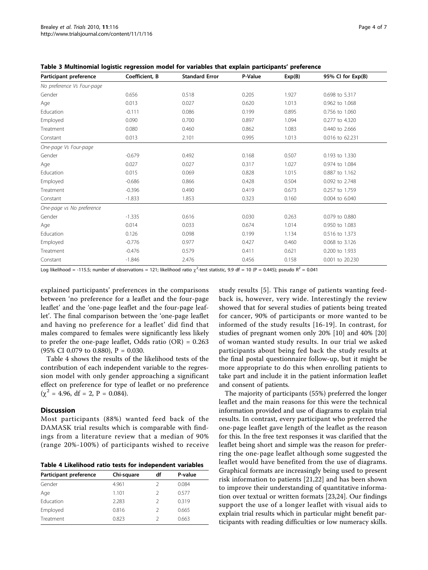| Participant preference     | Coefficient, B | <b>Standard Error</b> | P-Value | Exp(B) | 95% CI for Exp(B) |
|----------------------------|----------------|-----------------------|---------|--------|-------------------|
| No preference Vs Four-page |                |                       |         |        |                   |
| Gender                     | 0.656          | 0.518                 | 0.205   | 1.927  | 0.698 to 5.317    |
| Age                        | 0.013          | 0.027                 | 0.620   | 1.013  | 0.962 to 1.068    |
| Education                  | $-0.111$       | 0.086                 | 0.199   | 0.895  | 0.756 to 1.060    |
| Employed                   | 0.090          | 0.700                 | 0.897   | 1.094  | 0.277 to 4.320    |
| Treatment                  | 0.080          | 0.460                 | 0.862   | 1.083  | 0.440 to 2.666    |
| Constant                   | 0.013          | 2.101                 | 0.995   | 1.013  | 0.016 to 62.231   |
| One-page Vs Four-page      |                |                       |         |        |                   |
| Gender                     | $-0.679$       | 0.492                 | 0.168   | 0.507  | 0.193 to 1.330    |
| Age                        | 0.027          | 0.027                 | 0.317   | 1.027  | 0.974 to 1.084    |
| Education                  | 0.015          | 0.069                 | 0.828   | 1.015  | 0.887 to 1.162    |
| Employed                   | $-0.686$       | 0.866                 | 0.428   | 0.504  | 0.092 to 2.748    |
| Treatment                  | $-0.396$       | 0.490                 | 0.419   | 0.673  | 0.257 to 1.759    |
| Constant                   | $-1.833$       | 1.853                 | 0.323   | 0.160  | 0.004 to 6.040    |
| One-page vs No preference  |                |                       |         |        |                   |
| Gender                     | $-1.335$       | 0.616                 | 0.030   | 0.263  | 0.079 to 0.880    |
| Age                        | 0.014          | 0.033                 | 0.674   | 1.014  | 0.950 to 1.083    |
| Education                  | 0.126          | 0.098                 | 0.199   | 1.134  | 0.516 to 1.373    |
| Employed                   | $-0.776$       | 0.977                 | 0.427   | 0.460  | 0.068 to 3.126    |
| Treatment                  | $-0.476$       | 0.579                 | 0.411   | 0.621  | 0.200 to 1.933    |
| Constant                   | $-1.846$       | 2.476                 | 0.456   | 0.158  | 0.001 to 20.230   |

<span id="page-3-0"></span>Table 3 Multinomial logistic regression model for variables that explain participants' preference

Log likelihood = -115.5; number of observations = 121; likelihood ratio  $\chi^2$ -test statistic, 9.9 df = 10 (P = 0.445); pseudo R<sup>2</sup> = 0.041

explained participants' preferences in the comparisons between 'no preference for a leaflet and the four-page leaflet' and the 'one-page leaflet and the four-page leaflet'. The final comparison between the 'one-page leaflet and having no preference for a leaflet' did find that males compared to females were significantly less likely to prefer the one-page leaflet, Odds ratio  $(OR) = 0.263$ (95% CI 0.079 to 0.880),  $P = 0.030$ .

Table 4 shows the results of the likelihood tests of the contribution of each independent variable to the regression model with only gender approaching a significant effect on preference for type of leaflet or no preference  $(\chi^2 = 4.96, df = 2, P = 0.084).$ 

#### **Discussion**

Most participants (88%) wanted feed back of the DAMASK trial results which is comparable with findings from a literature review that a median of 90% (range 20%-100%) of participants wished to receive

Table 4 Likelihood ratio tests for independent variables

| Participant preference | Chi-square | df            | P-value |
|------------------------|------------|---------------|---------|
| Gender                 | 4.961      |               | 0.084   |
| Age                    | 1.101      | 2             | 0.577   |
| <b>Education</b>       | 2.283      | $\mathcal{P}$ | 0.319   |
| Employed               | 0.816      | 2             | 0.665   |
| Treatment              | 0.823      |               | 0.663   |

study results [\[5](#page-5-0)]. This range of patients wanting feedback is, however, very wide. Interestingly the review showed that for several studies of patients being treated for cancer, 90% of participants or more wanted to be informed of the study results [[16](#page-6-0)-[19](#page-6-0)]. In contrast, for studies of pregnant women only 20% [[10\]](#page-5-0) and 40% [\[20](#page-6-0)] of woman wanted study results. In our trial we asked participants about being fed back the study results at the final postal questionnaire follow-up, but it might be more appropriate to do this when enrolling patients to take part and include it in the patient information leaflet and consent of patients.

The majority of participants (55%) preferred the longer leaflet and the main reasons for this were the technical information provided and use of diagrams to explain trial results. In contrast, every participant who preferred the one-page leaflet gave length of the leaflet as the reason for this. In the free text responses it was clarified that the leaflet being short and simple was the reason for preferring the one-page leaflet although some suggested the leaflet would have benefited from the use of diagrams. Graphical formats are increasingly being used to present risk information to patients [[21,22](#page-6-0)] and has been shown to improve their understanding of quantitative information over textual or written formats [\[23,24](#page-6-0)]. Our findings support the use of a longer leaflet with visual aids to explain trial results which in particular might benefit participants with reading difficulties or low numeracy skills.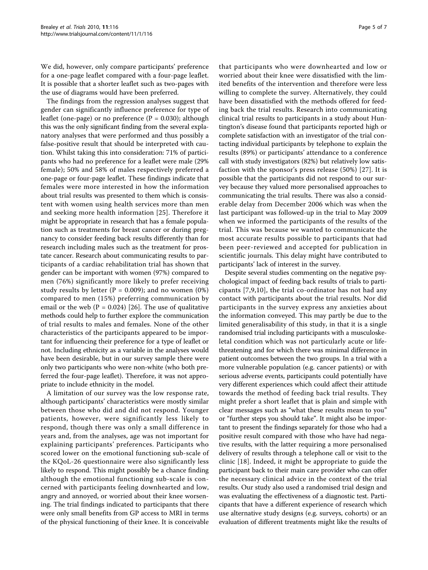We did, however, only compare participants' preference for a one-page leaflet compared with a four-page leaflet. It is possible that a shorter leaflet such as two-pages with the use of diagrams would have been preferred.

The findings from the regression analyses suggest that gender can significantly influence preference for type of leaflet (one-page) or no preference ( $P = 0.030$ ); although this was the only significant finding from the several explanatory analyses that were performed and thus possibly a false-positive result that should be interpreted with caution. Whilst taking this into consideration: 71% of participants who had no preference for a leaflet were male (29% female); 50% and 58% of males respectively preferred a one-page or four-page leaflet. These findings indicate that females were more interested in how the information about trial results was presented to them which is consistent with women using health services more than men and seeking more health information [[25\]](#page-6-0). Therefore it might be appropriate in research that has a female population such as treatments for breast cancer or during pregnancy to consider feeding back results differently than for research including males such as the treatment for prostate cancer. Research about communicating results to participants of a cardiac rehabilitation trial has shown that gender can be important with women (97%) compared to men (76%) significantly more likely to prefer receiving study results by letter ( $P = 0.009$ ); and no women (0%) compared to men (15%) preferring communication by email or the web  $(P = 0.024)$  [[26\]](#page-6-0). The use of qualitative methods could help to further explore the communication of trial results to males and females. None of the other characteristics of the participants appeared to be important for influencing their preference for a type of leaflet or not. Including ethnicity as a variable in the analyses would have been desirable, but in our survey sample there were only two participants who were non-white (who both preferred the four-page leaflet). Therefore, it was not appropriate to include ethnicity in the model.

A limitation of our survey was the low response rate, although participants' characteristics were mostly similar between those who did and did not respond. Younger patients, however, were significantly less likely to respond, though there was only a small difference in years and, from the analyses, age was not important for explaining participants' preferences. Participants who scored lower on the emotional functioning sub-scale of the KQoL-26 questionnaire were also significantly less likely to respond. This might possibly be a chance finding although the emotional functioning sub-scale is concerned with participants feeling downhearted and low, angry and annoyed, or worried about their knee worsening. The trial findings indicated to participants that there were only small benefits from GP access to MRI in terms of the physical functioning of their knee. It is conceivable that participants who were downhearted and low or worried about their knee were dissatisfied with the limited benefits of the intervention and therefore were less willing to complete the survey. Alternatively, they could have been dissatisfied with the methods offered for feeding back the trial results. Research into communicating clinical trial results to participants in a study about Huntington's disease found that participants reported high or complete satisfaction with an investigator of the trial contacting individual participants by telephone to explain the results (89%) or participants' attendance to a conference call with study investigators (82%) but relatively low satisfaction with the sponsor's press release (50%) [[27\]](#page-6-0). It is possible that the participants did not respond to our survey because they valued more personalised approaches to communicating the trial results. There was also a considerable delay from December 2006 which was when the last participant was followed-up in the trial to May 2009 when we informed the participants of the results of the trial. This was because we wanted to communicate the most accurate results possible to participants that had been peer-reviewed and accepted for publication in scientific journals. This delay might have contributed to participants' lack of interest in the survey.

Despite several studies commenting on the negative psychological impact of feeding back results of trials to participants [[7,9](#page-5-0),[10](#page-5-0)], the trial co-ordinator has not had any contact with participants about the trial results. Nor did participants in the survey express any anxieties about the information conveyed. This may partly be due to the limited generalisability of this study, in that it is a single randomised trial including participants with a musculoskeletal condition which was not particularly acute or lifethreatening and for which there was minimal difference in patient outcomes between the two groups. In a trial with a more vulnerable population (e.g. cancer patients) or with serious adverse events, participants could potentially have very different experiences which could affect their attitude towards the method of feeding back trial results. They might prefer a short leaflet that is plain and simple with clear messages such as "what these results mean to you" or "further steps you should take". It might also be important to present the findings separately for those who had a positive result compared with those who have had negative results, with the latter requiring a more personalised delivery of results through a telephone call or visit to the clinic [[18\]](#page-6-0). Indeed, it might be appropriate to guide the participant back to their main care provider who can offer the necessary clinical advice in the context of the trial results. Our study also used a randomised trial design and was evaluating the effectiveness of a diagnostic test. Participants that have a different experience of research which use alternative study designs (e.g. surveys, cohorts) or an evaluation of different treatments might like the results of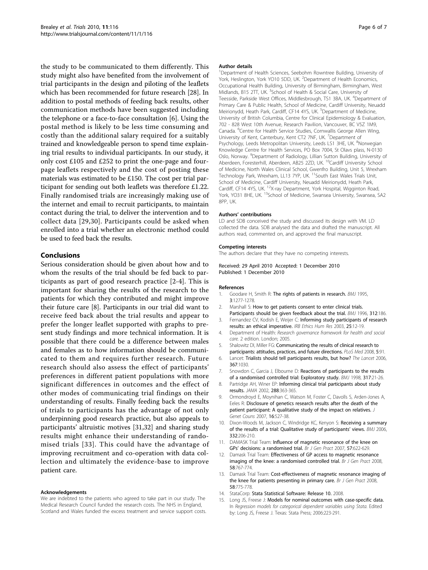<span id="page-5-0"></span>the study to be communicated to them differently. This study might also have benefited from the involvement of trial participants in the design and piloting of the leaflets which has been recommended for future research [\[28\]](#page-6-0). In addition to postal methods of feeding back results, other communication methods have been suggested including the telephone or a face-to-face consultation [6]. Using the postal method is likely to be less time consuming and costly than the additional salary required for a suitably trained and knowledgeable person to spend time explaining trial results to individual participants. In our study, it only cost £105 and £252 to print the one-page and fourpage leaflets respectively and the cost of posting these materials was estimated to be £150. The cost per trial participant for sending out both leaflets was therefore £1.22. Finally randomised trials are increasingly making use of the internet and email to recruit participants, to maintain contact during the trial, to deliver the intervention and to collect data [[29,30](#page-6-0)]. Participants could be asked when enrolled into a trial whether an electronic method could be used to feed back the results.

#### Conclusions

Serious consideration should be given about how and to whom the results of the trial should be fed back to participants as part of good research practice [2-4]. This is important for sharing the results of the research to the patients for which they contributed and might improve their future care [8]. Participants in our trial did want to receive feed back about the trial results and appear to prefer the longer leaflet supported with graphs to present study findings and more technical information. It is possible that there could be a difference between males and females as to how information should be communicated to them and requires further research. Future research should also assess the effect of participants' preferences in different patient populations with more significant differences in outcomes and the effect of other modes of communicating trial findings on their understanding of results. Finally feeding back the results of trials to participants has the advantage of not only underpinning good research practice, but also appeals to participants' altruistic motives [\[31,32](#page-6-0)] and sharing study results might enhance their understanding of randomised trials [\[33](#page-6-0)]. This could have the advantage of improving recruitment and co-operation with data collection and ultimately the evidence-base to improve patient care.

#### Acknowledgements

We are indebted to the patients who agreed to take part in our study. The Medical Research Council funded the research costs. The NHS in England, Scotland and Wales funded the excess treatment and service support costs.

#### Author details

<sup>1</sup>Department of Health Sciences, Seebohm Rowntree Building, University of York, Heslington, York YO10 5DD, UK. <sup>2</sup>Department of Health Economics, Occupational Health Building, University of Birmingham, Birmingham, West Midlands, B15 2TT, UK. <sup>3</sup>School of Health & Social Care, University of Teesside, Parkside West Offices, Middlesbrough, TS1 3BA, UK. <sup>4</sup>Department of Primary Care & Public Health, School of Medicine, Cardiff University, Neuadd Meirionydd, Heath Park, Cardiff, CF14 4YS, UK. <sup>5</sup>Department of Medicine, University of British Columbia, Centre for Clinical Epidemiology & Evaluation, 702 - 828 West 10th Avenue, Research Pavilion, Vancouver, BC V5Z 1M9, Canada. <sup>6</sup>Centre for Health Service Studies, Cornwallis George Allen Wing University of Kent, Canterbury, Kent CT2 7NF, UK. <sup>7</sup>Department of Psychology, Leeds Metropolitan University, Leeds LS1 3HE, UK. <sup>8</sup>Norwegian Knowledge Centre for Health Services, PO Box 7004, St Olavs plass, N-0130 Oslo, Norway. <sup>9</sup>Department of Radiology, Lillian Sutton Building, University of Aberdeen, Foresterhill, Aberdeen, AB25 2ZD, UK. <sup>10</sup>Cardiff University School of Medicine, North Wales Clinical School, Gwenfro Building, Unit 5, Wrexham Technology Park, Wrexham, LL13 7YP, UK. <sup>11</sup>South East Wales Trials Unit, School of Medicine, Cardiff University, Neuadd Meirionydd, Heath Park, Cardiff, CF14 4YS, UK. <sup>12</sup>X-ray Department, York Hospital, Wigginton Road, York, YO31 8HE, UK. <sup>13</sup>School of Medicine, Swansea University, Swansea, SA2 8PP, UK.

#### Authors' contributions

LD and SDB conceived the study and discussed its design with VM. LD collected the data. SDB analysed the data and drafted the manuscript. All authors read, commented on, and approved the final manuscript.

#### Competing interests

The authors declare that they have no competing interests.

Received: 29 April 2010 Accepted: 1 December 2010 Published: 1 December 2010

#### References

- 1. Goodare H, Smith R: The rights of patients in research. BMJ 1995, 3:1277-1278.
- 2. Marshall S: [How to get patients consent to enter clinical trials.](http://www.ncbi.nlm.nih.gov/pubmed/8563567?dopt=Abstract) [Participants should be given feedback about the trial.](http://www.ncbi.nlm.nih.gov/pubmed/8563567?dopt=Abstract) BMJ 1996, 312:186.
- 3. Fernandez CV, Kodish E, Weijer C: Informing study participants of research results: an ethical imperative. IRB Ethics Hum Res 2003, 25:12-19.
- 4. Department of Health: Research governance framework for health and social care. 2 edition. London; 2005.
- 5. Shalowitz DI, Miller FG: Communicating the results of clinical research to participants: attitudes, practices, and future directions,  $P\log Med$  2008, 5:91.
- 6. Lancet: Trialists should tell participants results, but how? The Lancet 2006, 367:1030.
- 7. Snowdon C, Garcia J, Elbourne D: [Reactions of participants to the results](http://www.ncbi.nlm.nih.gov/pubmed/9651262?dopt=Abstract) [of a randomised controlled trial: Exploratory study.](http://www.ncbi.nlm.nih.gov/pubmed/9651262?dopt=Abstract) BMJ 1998, 317:21-26.
- 8. Partridge AH, Winer EP: [Informing clinical trial participants about study](http://www.ncbi.nlm.nih.gov/pubmed/12117402?dopt=Abstract) [results.](http://www.ncbi.nlm.nih.gov/pubmed/12117402?dopt=Abstract) JAMA 2002, 288:363-365.
- Ormondroyd E, Moynihan C, Watson M, Foster C, Davolls S, Arden-Jones A, Eeles R: [Disclosure of genetics research results after the death of the](http://www.ncbi.nlm.nih.gov/pubmed/17492498?dopt=Abstract) [patient participant: A qualitative study of the impact on relatives.](http://www.ncbi.nlm.nih.gov/pubmed/17492498?dopt=Abstract) J Genet Couns 2007, 16:527-38.
- 10. Dixon-Woods M, Jackson C, Windridge KC, Kenyon S: [Receiving a summary](http://www.ncbi.nlm.nih.gov/pubmed/16401631?dopt=Abstract) [of the results of a trial: Qualitative study of participants](http://www.ncbi.nlm.nih.gov/pubmed/16401631?dopt=Abstract)' views. BMJ 2006, 332:206-210.
- 11. DAMASK Trial Team: [Influence of magnetic resonance of the knee on](http://www.ncbi.nlm.nih.gov/pubmed/17688756?dopt=Abstract) GPs' [decisions: a randomised trial.](http://www.ncbi.nlm.nih.gov/pubmed/17688756?dopt=Abstract) Br J Gen Pract 2007, 57:622-629.
- 12. Damask Trial Team: Effectiveness of GP access to magnetic resonance imaging of the knee: a randomised controlled trial. Br J Gen Pract 2008, 58:767-774.
- 13. Damask Trial Team: Cost-effectiveness of magnetic resonance imaging of the knee for patients presenting in primary care. Br J Gen Pract 2008, 58:775-778.
- 14. StataCorp: Stata Statistical Software: Release 10. 2008.
- 15. Long JS, Freese J: Models for nominal outcomes with case-specific data. In Regression models for categorical dependent variables using Stata. Edited by: Long JS, Freese J. Texas: Stata Press; 2006:223-291.